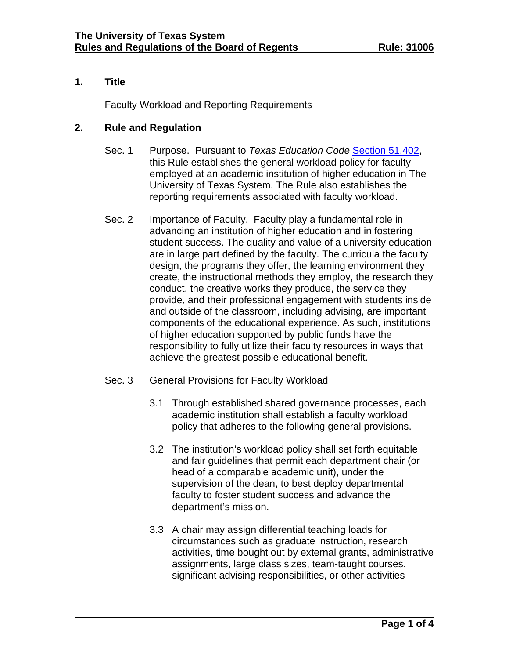# **1. Title**

Faculty Workload and Reporting Requirements

## **2. Rule and Regulation**

- Sec. 1 Purpose. Pursuant to *Texas Education Code* [Section 51.402,](http://www.statutes.legis.state.tx.us/Docs/ED/htm/ED.51.htm#51.402) this Rule establishes the general workload policy for faculty employed at an academic institution of higher education in The University of Texas System. The Rule also establishes the reporting requirements associated with faculty workload.
- Sec. 2 Importance of Faculty. Faculty play a fundamental role in advancing an institution of higher education and in fostering student success. The quality and value of a university education are in large part defined by the faculty. The curricula the faculty design, the programs they offer, the learning environment they create, the instructional methods they employ, the research they conduct, the creative works they produce, the service they provide, and their professional engagement with students inside and outside of the classroom, including advising, are important components of the educational experience. As such, institutions of higher education supported by public funds have the responsibility to fully utilize their faculty resources in ways that achieve the greatest possible educational benefit.
- Sec. 3 General Provisions for Faculty Workload
	- 3.1 Through established shared governance processes, each academic institution shall establish a faculty workload policy that adheres to the following general provisions.
	- 3.2 The institution's workload policy shall set forth equitable and fair guidelines that permit each department chair (or head of a comparable academic unit), under the supervision of the dean, to best deploy departmental faculty to foster student success and advance the department's mission.
	- 3.3 A chair may assign differential teaching loads for circumstances such as graduate instruction, research activities, time bought out by external grants, administrative assignments, large class sizes, team-taught courses, significant advising responsibilities, or other activities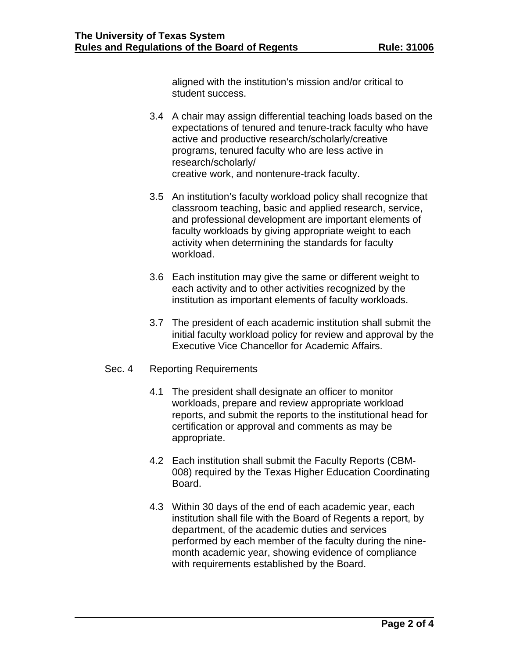aligned with the institution's mission and/or critical to student success.

- 3.4 A chair may assign differential teaching loads based on the expectations of tenured and tenure-track faculty who have active and productive research/scholarly/creative programs, tenured faculty who are less active in research/scholarly/ creative work, and nontenure-track faculty.
- 3.5 An institution's faculty workload policy shall recognize that classroom teaching, basic and applied research, service, and professional development are important elements of faculty workloads by giving appropriate weight to each activity when determining the standards for faculty workload.
- 3.6 Each institution may give the same or different weight to each activity and to other activities recognized by the institution as important elements of faculty workloads.
- 3.7 The president of each academic institution shall submit the initial faculty workload policy for review and approval by the Executive Vice Chancellor for Academic Affairs.

#### Sec. 4 Reporting Requirements

- 4.1 The president shall designate an officer to monitor workloads, prepare and review appropriate workload reports, and submit the reports to the institutional head for certification or approval and comments as may be appropriate.
- 4.2 Each institution shall submit the Faculty Reports (CBM-008) required by the Texas Higher Education Coordinating Board.
- 4.3 Within 30 days of the end of each academic year, each institution shall file with the Board of Regents a report, by department, of the academic duties and services performed by each member of the faculty during the ninemonth academic year, showing evidence of compliance with requirements established by the Board.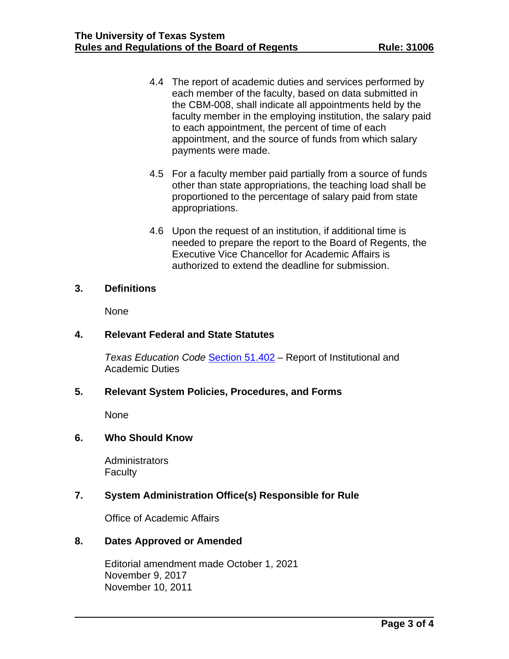- 4.4 The report of academic duties and services performed by each member of the faculty, based on data submitted in the CBM-008, shall indicate all appointments held by the faculty member in the employing institution, the salary paid to each appointment, the percent of time of each appointment, and the source of funds from which salary payments were made.
- 4.5 For a faculty member paid partially from a source of funds other than state appropriations, the teaching load shall be proportioned to the percentage of salary paid from state appropriations.
- 4.6 Upon the request of an institution, if additional time is needed to prepare the report to the Board of Regents, the Executive Vice Chancellor for Academic Affairs is authorized to extend the deadline for submission.

#### **3. Definitions**

None

## **4. Relevant Federal and State Statutes**

*Texas Education Code* Section 51.402 – Report of Institutional and Academic Duties

#### **5. Relevant System Policies, Procedures, and Forms**

None

#### **6. Who Should Know**

**Administrators Faculty** 

# **7. System Administration Office(s) Responsible for Rule**

Office of Academic Affairs

## **8. Dates Approved or Amended**

Editorial amendment made October 1, 2021 November 9, 2017 November 10, 2011